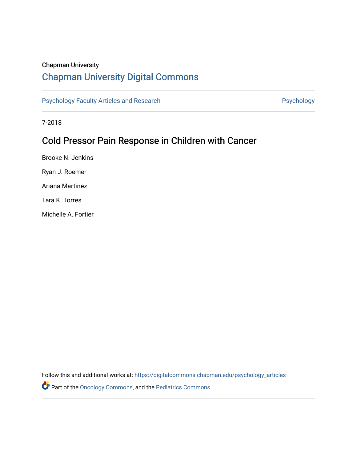# Chapman University

# [Chapman University Digital Commons](https://digitalcommons.chapman.edu/)

[Psychology Faculty Articles and Research](https://digitalcommons.chapman.edu/psychology_articles) **Psychology** Psychology

7-2018

# Cold Pressor Pain Response in Children with Cancer

Brooke N. Jenkins Ryan J. Roemer Ariana Martinez Tara K. Torres Michelle A. Fortier

Follow this and additional works at: [https://digitalcommons.chapman.edu/psychology\\_articles](https://digitalcommons.chapman.edu/psychology_articles?utm_source=digitalcommons.chapman.edu%2Fpsychology_articles%2F208&utm_medium=PDF&utm_campaign=PDFCoverPages)

Part of the [Oncology Commons,](http://network.bepress.com/hgg/discipline/694?utm_source=digitalcommons.chapman.edu%2Fpsychology_articles%2F208&utm_medium=PDF&utm_campaign=PDFCoverPages) and the [Pediatrics Commons](http://network.bepress.com/hgg/discipline/700?utm_source=digitalcommons.chapman.edu%2Fpsychology_articles%2F208&utm_medium=PDF&utm_campaign=PDFCoverPages)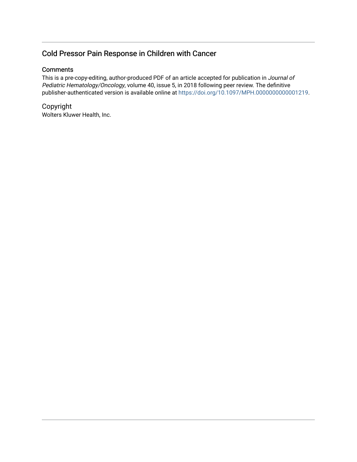# Cold Pressor Pain Response in Children with Cancer

# **Comments**

This is a pre-copy-editing, author-produced PDF of an article accepted for publication in Journal of Pediatric Hematology/Oncology, volume 40, issue 5, in 2018 following peer review. The definitive publisher-authenticated version is available online at [https://doi.org/10.1097/MPH.0000000000001219.](https://doi.org/10.1097/MPH.0000000000001219)

Copyright Wolters Kluwer Health, Inc.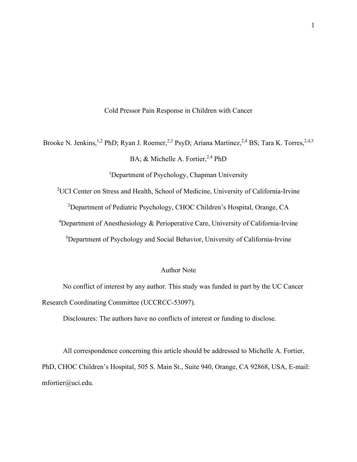Cold Pressor Pain Response in Children with Cancer

Brooke N. Jenkins,<sup>1,2</sup> PhD; Ryan J. Roemer,<sup>2,3</sup> PsyD; Ariana Martinez,<sup>2,4</sup> BS; Tara K. Torres,<sup>2,4,5</sup>

BA; & Michelle A. Fortier,<sup>2,4</sup> PhD

<sup>1</sup>Department of Psychology, Chapman University

<sup>2</sup>UCI Center on Stress and Health, School of Medicine, University of California-Irvine

<sup>3</sup>Department of Pediatric Psychology, CHOC Children's Hospital, Orange, CA

<sup>4</sup>Department of Anesthesiology & Perioperative Care, University of California-Irvine

<sup>5</sup>Department of Psychology and Social Behavior, University of California-Irvine

# Author Note

No conflict of interest by any author. This study was funded in part by the UC Cancer Research Coordinating Committee (UCCRCC-53097).

Disclosures: The authors have no conflicts of interest or funding to disclose.

All correspondence concerning this article should be addressed to Michelle A. Fortier, PhD, CHOC Children's Hospital, 505 S. Main St., Suite 940, Orange, CA 92868, USA, E-mail: mfortier@uci.edu.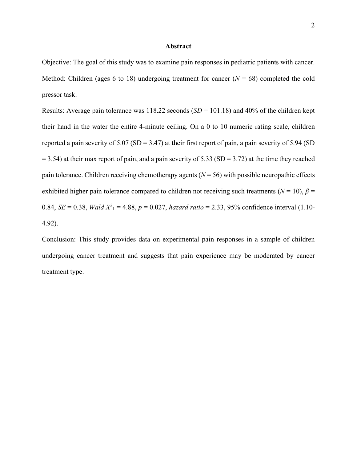## **Abstract**

Objective: The goal of this study was to examine pain responses in pediatric patients with cancer. Method: Children (ages 6 to 18) undergoing treatment for cancer  $(N = 68)$  completed the cold pressor task.

Results: Average pain tolerance was 118.22 seconds (*SD* = 101.18) and 40% of the children kept their hand in the water the entire 4-minute ceiling. On a 0 to 10 numeric rating scale, children reported a pain severity of  $5.07$  (SD = 3.47) at their first report of pain, a pain severity of  $5.94$  (SD  $= 3.54$ ) at their max report of pain, and a pain severity of 5.33 (SD = 3.72) at the time they reached pain tolerance. Children receiving chemotherapy agents  $(N = 56)$  with possible neuropathic effects exhibited higher pain tolerance compared to children not receiving such treatments ( $N = 10$ ),  $\beta =$ 0.84, *SE* = 0.38, *Wald X*<sup>2</sup><sub>1</sub> = 4.88, *p* = 0.027, *hazard ratio* = 2.33, 95% confidence interval (1.10-4.92).

Conclusion: This study provides data on experimental pain responses in a sample of children undergoing cancer treatment and suggests that pain experience may be moderated by cancer treatment type.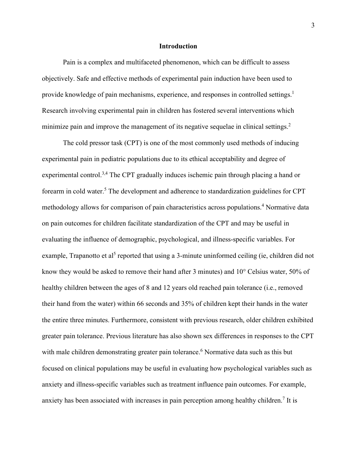## **Introduction**

Pain is a complex and multifaceted phenomenon, which can be difficult to assess objectively. Safe and effective methods of experimental pain induction have been used to provide knowledge of pain mechanisms, experience, and responses in controlled settings.<sup>1</sup> Research involving experimental pain in children has fostered several interventions which minimize pain and improve the management of its negative sequelae in clinical settings.<sup>2</sup>

The cold pressor task (CPT) is one of the most commonly used methods of inducing experimental pain in pediatric populations due to its ethical acceptability and degree of experimental control.<sup>3,4</sup> The CPT gradually induces ischemic pain through placing a hand or forearm in cold water.<sup>5</sup> The development and adherence to standardization guidelines for CPT methodology allows for comparison of pain characteristics across populations. <sup>4</sup> Normative data on pain outcomes for children facilitate standardization of the CPT and may be useful in evaluating the influence of demographic, psychological, and illness-specific variables. For example, Trapanotto et al<sup>5</sup> reported that using a 3-minute uninformed ceiling (ie, children did not know they would be asked to remove their hand after 3 minutes) and 10° Celsius water, 50% of healthy children between the ages of 8 and 12 years old reached pain tolerance (i.e., removed their hand from the water) within 66 seconds and 35% of children kept their hands in the water the entire three minutes. Furthermore, consistent with previous research, older children exhibited greater pain tolerance. Previous literature has also shown sex differences in responses to the CPT with male children demonstrating greater pain tolerance. <sup>6</sup> Normative data such as this but focused on clinical populations may be useful in evaluating how psychological variables such as anxiety and illness-specific variables such as treatment influence pain outcomes. For example, anxiety has been associated with increases in pain perception among healthy children.<sup>7</sup> It is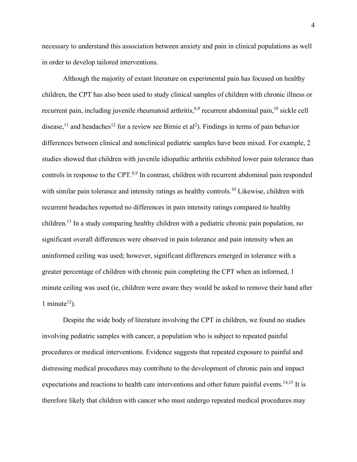necessary to understand this association between anxiety and pain in clinical populations as well in order to develop tailored interventions.

Although the majority of extant literature on experimental pain has focused on healthy children, the CPT has also been used to study clinical samples of children with chronic illness or recurrent pain, including juvenile rheumatoid arthritis,  $8,9$  recurrent abdominal pain,  $10$  sickle cell disease,<sup>11</sup> and headaches<sup>12</sup> for a review see Birnie et al<sup>2</sup>). Findings in terms of pain behavior differences between clinical and nonclinical pediatric samples have been mixed. For example, 2 studies showed that children with juvenile idiopathic arthritis exhibited lower pain tolerance than controls in response to the CPT.<sup>8,9</sup> In contrast, children with recurrent abdominal pain responded with similar pain tolerance and intensity ratings as healthy controls.<sup>10</sup> Likewise, children with recurrent headaches reported no differences in pain intensity ratings compared to healthy children.<sup>13</sup> In a study comparing healthy children with a pediatric chronic pain population, no significant overall differences were observed in pain tolerance and pain intensity when an uninformed ceiling was used; however, significant differences emerged in tolerance with a greater percentage of children with chronic pain completing the CPT when an informed, 1 minute ceiling was used (ie, children were aware they would be asked to remove their hand after 1 minute<sup>12</sup>).

Despite the wide body of literature involving the CPT in children, we found no studies involving pediatric samples with cancer, a population who is subject to repeated painful procedures or medical interventions. Evidence suggests that repeated exposure to painful and distressing medical procedures may contribute to the development of chronic pain and impact expectations and reactions to health care interventions and other future painful events.<sup>14,15</sup> It is therefore likely that children with cancer who must undergo repeated medical procedures may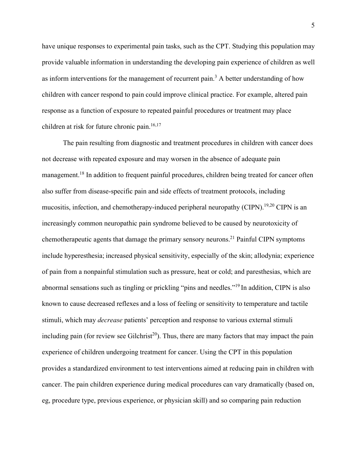have unique responses to experimental pain tasks, such as the CPT. Studying this population may provide valuable information in understanding the developing pain experience of children as well as inform interventions for the management of recurrent pain.<sup>3</sup> A better understanding of how children with cancer respond to pain could improve clinical practice. For example, altered pain response as a function of exposure to repeated painful procedures or treatment may place children at risk for future chronic pain.<sup>16,17</sup>

The pain resulting from diagnostic and treatment procedures in children with cancer does not decrease with repeated exposure and may worsen in the absence of adequate pain management.<sup>18</sup> In addition to frequent painful procedures, children being treated for cancer often also suffer from disease-specific pain and side effects of treatment protocols, including mucositis, infection, and chemotherapy-induced peripheral neuropathy (CIPN).<sup>19,20</sup> CIPN is an increasingly common neuropathic pain syndrome believed to be caused by neurotoxicity of chemotherapeutic agents that damage the primary sensory neurons.<sup>21</sup> Painful CIPN symptoms include hyperesthesia; increased physical sensitivity, especially of the skin; allodynia; experience of pain from a nonpainful stimulation such as pressure, heat or cold; and paresthesias, which are abnormal sensations such as tingling or prickling "pins and needles."19 In addition, CIPN is also known to cause decreased reflexes and a loss of feeling or sensitivity to temperature and tactile stimuli, which may *decrease* patients' perception and response to various external stimuli including pain (for review see Gilchrist<sup>20</sup>). Thus, there are many factors that may impact the pain experience of children undergoing treatment for cancer. Using the CPT in this population provides a standardized environment to test interventions aimed at reducing pain in children with cancer. The pain children experience during medical procedures can vary dramatically (based on, eg, procedure type, previous experience, or physician skill) and so comparing pain reduction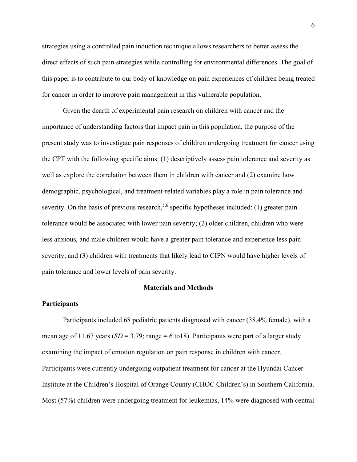strategies using a controlled pain induction technique allows researchers to better assess the direct effects of such pain strategies while controlling for environmental differences. The goal of this paper is to contribute to our body of knowledge on pain experiences of children being treated for cancer in order to improve pain management in this vulnerable population.

Given the dearth of experimental pain research on children with cancer and the importance of understanding factors that impact pain in this population, the purpose of the present study was to investigate pain responses of children undergoing treatment for cancer using the CPT with the following specific aims: (1) descriptively assess pain tolerance and severity as well as explore the correlation between them in children with cancer and (2) examine how demographic, psychological, and treatment-related variables play a role in pain tolerance and severity. On the basis of previous research,<sup>5,6</sup> specific hypotheses included: (1) greater pain tolerance would be associated with lower pain severity; (2) older children, children who were less anxious, and male children would have a greater pain tolerance and experience less pain severity; and (3) children with treatments that likely lead to CIPN would have higher levels of pain tolerance and lower levels of pain severity.

## **Materials and Methods**

#### **Participants**

Participants included 68 pediatric patients diagnosed with cancer (38.4% female), with a mean age of 11.67 years  $(SD = 3.79; \text{range} = 6 \text{ to } 18)$ . Participants were part of a larger study examining the impact of emotion regulation on pain response in children with cancer. Participants were currently undergoing outpatient treatment for cancer at the Hyundai Cancer Institute at the Children's Hospital of Orange County (CHOC Children's) in Southern California. Most (57%) children were undergoing treatment for leukemias, 14% were diagnosed with central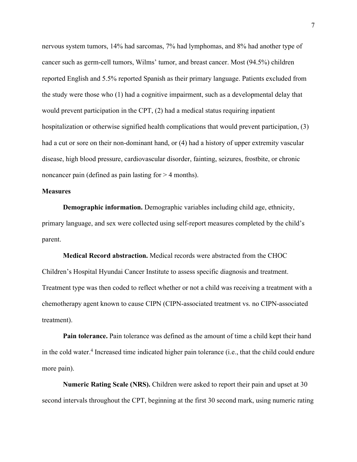nervous system tumors, 14% had sarcomas, 7% had lymphomas, and 8% had another type of cancer such as germ-cell tumors, Wilms' tumor, and breast cancer. Most (94.5%) children reported English and 5.5% reported Spanish as their primary language. Patients excluded from the study were those who (1) had a cognitive impairment, such as a developmental delay that would prevent participation in the CPT, (2) had a medical status requiring inpatient hospitalization or otherwise signified health complications that would prevent participation, (3) had a cut or sore on their non-dominant hand, or (4) had a history of upper extremity vascular disease, high blood pressure, cardiovascular disorder, fainting, seizures, frostbite, or chronic noncancer pain (defined as pain lasting for  $> 4$  months).

# **Measures**

**Demographic information.** Demographic variables including child age, ethnicity, primary language, and sex were collected using self-report measures completed by the child's parent.

**Medical Record abstraction.** Medical records were abstracted from the CHOC Children's Hospital Hyundai Cancer Institute to assess specific diagnosis and treatment. Treatment type was then coded to reflect whether or not a child was receiving a treatment with a chemotherapy agent known to cause CIPN (CIPN-associated treatment vs. no CIPN-associated treatment).

**Pain tolerance.** Pain tolerance was defined as the amount of time a child kept their hand in the cold water. <sup>4</sup> Increased time indicated higher pain tolerance (i.e., that the child could endure more pain).

**Numeric Rating Scale (NRS).** Children were asked to report their pain and upset at 30 second intervals throughout the CPT, beginning at the first 30 second mark, using numeric rating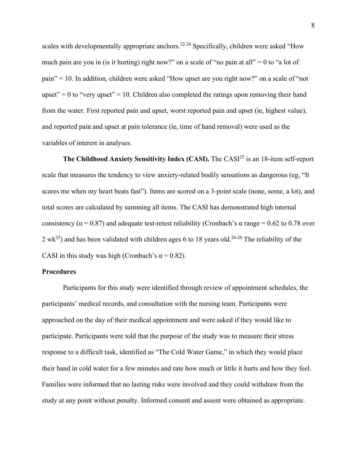scales with developmentally appropriate anchors.<sup>22-24</sup> Specifically, children were asked "How much pain are you in (is it hurting) right now?" on a scale of "no pain at all" = 0 to "a lot of pain" = 10. In addition, children were asked "How upset are you right now?" on a scale of "not upset" = 0 to "very upset" = 10. Children also completed the ratings upon removing their hand from the water. First reported pain and upset, worst reported pain and upset (ie, highest value), and reported pain and upset at pain tolerance (ie, time of hand removal) were used as the variables of interest in analyses.

**The Childhood Anxiety Sensitivity Index (CASI).** The CASI<sup>25</sup> is an 18-item self-report scale that measures the tendency to view anxiety-related bodily sensations as dangerous (eg, "It scares me when my heart beats fast"). Items are scored on a 3-point scale (none, some, a lot), and total scores are calculated by summing all items. The CASI has demonstrated high internal consistency ( $\alpha$  = 0.87) and adequate test-retest reliability (Cronbach's  $\alpha$  range = 0.62 to 0.78 over 2 wk<sup>25</sup>) and has been validated with children ages 6 to 18 years old.<sup>26-28</sup> The reliability of the CASI in this study was high (Cronbach's  $\alpha$  = 0.82).

# **Procedures**

Participants for this study were identified through review of appointment schedules, the participants' medical records, and consultation with the nursing team. Participants were approached on the day of their medical appointment and were asked if they would like to participate. Participants were told that the purpose of the study was to measure their stress response to a difficult task, identified as "The Cold Water Game," in which they would place their hand in cold water for a few minutes and rate how much or little it hurts and how they feel. Families were informed that no lasting risks were involved and they could withdraw from the study at any point without penalty. Informed consent and assent were obtained as appropriate.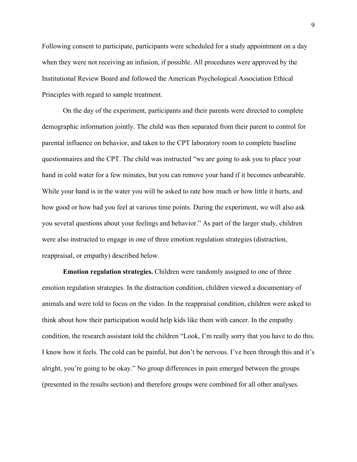Following consent to participate, participants were scheduled for a study appointment on a day when they were not receiving an infusion, if possible. All procedures were approved by the Institutional Review Board and followed the American Psychological Association Ethical Principles with regard to sample treatment.

On the day of the experiment, participants and their parents were directed to complete demographic information jointly. The child was then separated from their parent to control for parental influence on behavior, and taken to the CPT laboratory room to complete baseline questionnaires and the CPT. The child was instructed "we are going to ask you to place your hand in cold water for a few minutes, but you can remove your hand if it becomes unbearable. While your hand is in the water you will be asked to rate how much or how little it hurts, and how good or how bad you feel at various time points. During the experiment, we will also ask you several questions about your feelings and behavior." As part of the larger study, children were also instructed to engage in one of three emotion regulation strategies (distraction, reappraisal, or empathy) described below.

**Emotion regulation strategies.** Children were randomly assigned to one of three emotion regulation strategies. In the distraction condition, children viewed a documentary of animals and were told to focus on the video. In the reappraisal condition, children were asked to think about how their participation would help kids like them with cancer. In the empathy condition, the research assistant told the children "Look, I'm really sorry that you have to do this. I know how it feels. The cold can be painful, but don't be nervous. I've been through this and it's alright, you're going to be okay." No group differences in pain emerged between the groups (presented in the results section) and therefore groups were combined for all other analyses.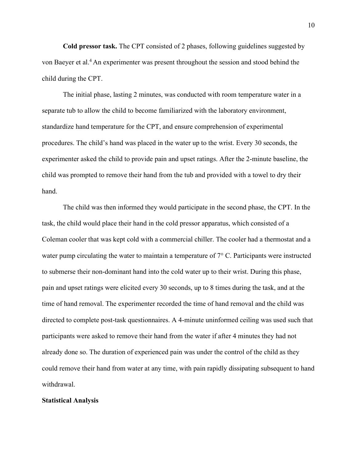**Cold pressor task.** The CPT consisted of 2 phases, following guidelines suggested by von Baeyer et al.<sup>4</sup> An experimenter was present throughout the session and stood behind the child during the CPT.

The initial phase, lasting 2 minutes, was conducted with room temperature water in a separate tub to allow the child to become familiarized with the laboratory environment, standardize hand temperature for the CPT, and ensure comprehension of experimental procedures. The child's hand was placed in the water up to the wrist. Every 30 seconds, the experimenter asked the child to provide pain and upset ratings. After the 2-minute baseline, the child was prompted to remove their hand from the tub and provided with a towel to dry their hand.

The child was then informed they would participate in the second phase, the CPT. In the task, the child would place their hand in the cold pressor apparatus, which consisted of a Coleman cooler that was kept cold with a commercial chiller. The cooler had a thermostat and a water pump circulating the water to maintain a temperature of  $7^{\circ}$  C. Participants were instructed to submerse their non-dominant hand into the cold water up to their wrist. During this phase, pain and upset ratings were elicited every 30 seconds, up to 8 times during the task, and at the time of hand removal. The experimenter recorded the time of hand removal and the child was directed to complete post-task questionnaires. A 4-minute uninformed ceiling was used such that participants were asked to remove their hand from the water if after 4 minutes they had not already done so. The duration of experienced pain was under the control of the child as they could remove their hand from water at any time, with pain rapidly dissipating subsequent to hand withdrawal.

# **Statistical Analysis**

10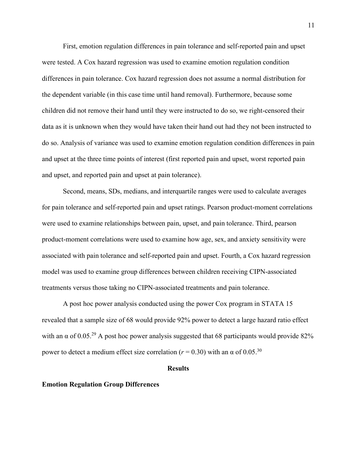First, emotion regulation differences in pain tolerance and self-reported pain and upset were tested. A Cox hazard regression was used to examine emotion regulation condition differences in pain tolerance. Cox hazard regression does not assume a normal distribution for the dependent variable (in this case time until hand removal). Furthermore, because some children did not remove their hand until they were instructed to do so, we right-censored their data as it is unknown when they would have taken their hand out had they not been instructed to do so. Analysis of variance was used to examine emotion regulation condition differences in pain and upset at the three time points of interest (first reported pain and upset, worst reported pain and upset, and reported pain and upset at pain tolerance).

Second, means, SDs, medians, and interquartile ranges were used to calculate averages for pain tolerance and self-reported pain and upset ratings. Pearson product-moment correlations were used to examine relationships between pain, upset, and pain tolerance. Third, pearson product-moment correlations were used to examine how age, sex, and anxiety sensitivity were associated with pain tolerance and self-reported pain and upset. Fourth, a Cox hazard regression model was used to examine group differences between children receiving CIPN-associated treatments versus those taking no CIPN-associated treatments and pain tolerance.

A post hoc power analysis conducted using the power Cox program in STATA 15 revealed that a sample size of 68 would provide 92% power to detect a large hazard ratio effect with an  $\alpha$  of 0.05.<sup>29</sup> A post hoc power analysis suggested that 68 participants would provide 82% power to detect a medium effect size correlation ( $r = 0.30$ ) with an α of 0.05.<sup>30</sup>

#### **Results**

#### **Emotion Regulation Group Differences**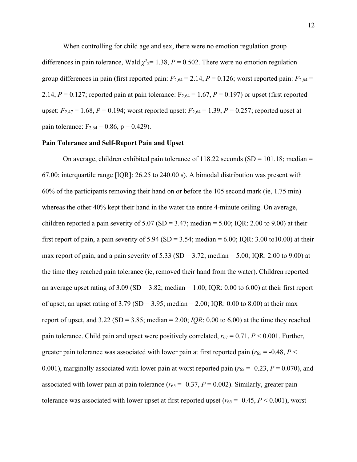When controlling for child age and sex, there were no emotion regulation group differences in pain tolerance, Wald  $\chi^2 = 1.38$ ,  $P = 0.502$ . There were no emotion regulation group differences in pain (first reported pain:  $F_{2,64} = 2.14$ ,  $P = 0.126$ ; worst reported pain:  $F_{2,64} =$ 2.14,  $P = 0.127$ ; reported pain at pain tolerance:  $F_{2,64} = 1.67$ ,  $P = 0.197$ ) or upset (first reported upset:  $F_{2,47} = 1.68$ ,  $P = 0.194$ ; worst reported upset:  $F_{2,64} = 1.39$ ,  $P = 0.257$ ; reported upset at pain tolerance:  $F_{2,64} = 0.86$ , p = 0.429).

#### **Pain Tolerance and Self-Report Pain and Upset**

On average, children exhibited pain tolerance of  $118.22$  seconds (SD = 101.18; median = 67.00; interquartile range [IQR]: 26.25 to 240.00 s). A bimodal distribution was present with 60% of the participants removing their hand on or before the 105 second mark (ie, 1.75 min) whereas the other 40% kept their hand in the water the entire 4-minute ceiling. On average, children reported a pain severity of  $5.07$  (SD = 3.47; median =  $5.00$ ; IQR: 2.00 to 9.00) at their first report of pain, a pain severity of  $5.94$  (SD = 3.54; median = 6.00; IQR: 3.00 to10.00) at their max report of pain, and a pain severity of  $5.33$  (SD =  $3.72$ ; median =  $5.00$ ; IQR:  $2.00$  to  $9.00$ ) at the time they reached pain tolerance (ie, removed their hand from the water). Children reported an average upset rating of  $3.09$  (SD =  $3.82$ ; median = 1.00; IQR: 0.00 to 6.00) at their first report of upset, an upset rating of 3.79 (SD = 3.95; median = 2.00; IQR: 0.00 to 8.00) at their max report of upset, and  $3.22$  (SD =  $3.85$ ; median =  $2.00$ ; *IOR*: 0.00 to 6.00) at the time they reached pain tolerance. Child pain and upset were positively correlated,  $r_{67} = 0.71$ ,  $P < 0.001$ . Further, greater pain tolerance was associated with lower pain at first reported pain ( $r_{65}$  = -0.48, *P* < 0.001), marginally associated with lower pain at worst reported pain ( $r_{65} = -0.23$ ,  $P = 0.070$ ), and associated with lower pain at pain tolerance ( $r_{65}$  = -0.37,  $P = 0.002$ ). Similarly, greater pain tolerance was associated with lower upset at first reported upset ( $r_{65}$  = -0.45,  $P$  < 0.001), worst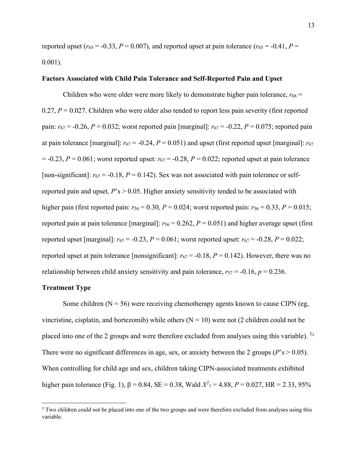reported upset ( $r_{65}$  = -0.33, *P* = 0.007), and reported upset at pain tolerance ( $r_{65}$  = -0.41, *P* = 0.001).

# **Factors Associated with Child Pain Tolerance and Self-Reported Pain and Upset**

Children who were older were more likely to demonstrate higher pain tolerance,  $r_{68}$  =  $0.27, P = 0.027$ . Children who were older also tended to report less pain severity (first reported pain:  $r_{67} = -0.26$ ,  $P = 0.032$ ; worst reported pain [marginal]:  $r_{67} = -0.22$ ,  $P = 0.075$ ; reported pain at pain tolerance [marginal]:  $r_{67} = -0.24$ ,  $P = 0.051$ ] and upset (first reported upset [marginal]:  $r_{67}$  $= -0.23$ ,  $P = 0.061$ ; worst reported upset:  $r_{67} = -0.28$ ,  $P = 0.022$ ; reported upset at pain tolerance [non-significant]:  $r_{67}$  = -0.18,  $P = 0.142$ ). Sex was not associated with pain tolerance or selfreported pain and upset, *P*'s > 0.05. Higher anxiety sensitivity tended to be associated with higher pain (first reported pain:  $r_{56} = 0.30$ ,  $P = 0.024$ ; worst reported pain:  $r_{56} = 0.33$ ,  $P = 0.015$ ; reported pain at pain tolerance [marginal]:  $r_{56} = 0.262$ ,  $P = 0.051$ ) and higher average upset (first reported upset [marginal]:  $r_{67} = -0.23$ ,  $P = 0.061$ ; worst reported upset:  $r_{67} = -0.28$ ,  $P = 0.022$ ; reported upset at pain tolerance [nonsignificant]:  $r_{67} = -0.18$ ,  $P = 0.142$ ). However, there was no relationship between child anxiety sensitivity and pain tolerance,  $r_{57} = -0.16$ ,  $p = 0.236$ .

# **Treatment Type**

Some children ( $N = 56$ ) were receiving chemotherapy agents known to cause CIPN (eg, vincristine, cisplatin, and bortezomib) while others  $(N = 10)$  were not (2 children could not be placed into one of the 2 groups and were therefore excluded from analyses using this variable).  $31$  $31$ There were no significant differences in age, sex, or anxiety between the 2 groups ( $P$ 's  $> 0.05$ ). When controlling for child age and sex, children taking CIPN-associated treatments exhibited higher pain tolerance (Fig. 1),  $β = 0.84$ ,  $SE = 0.38$ , Wald  $X^2$ <sub>1</sub> = 4.88,  $P = 0.027$ , HR = 2.33, 95%

<span id="page-14-0"></span><sup>&</sup>lt;sup>1</sup> Two children could not be placed into one of the two groups and were therefore excluded from analyses using this variable.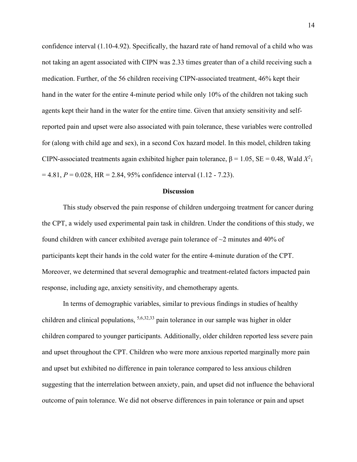confidence interval (1.10-4.92). Specifically, the hazard rate of hand removal of a child who was not taking an agent associated with CIPN was 2.33 times greater than of a child receiving such a medication. Further, of the 56 children receiving CIPN-associated treatment, 46% kept their hand in the water for the entire 4-minute period while only 10% of the children not taking such agents kept their hand in the water for the entire time. Given that anxiety sensitivity and selfreported pain and upset were also associated with pain tolerance, these variables were controlled for (along with child age and sex), in a second Cox hazard model. In this model, children taking CIPN-associated treatments again exhibited higher pain tolerance,  $\beta = 1.05$ , SE = 0.48, Wald  $X^2$ <sub>1</sub>  $= 4.81, P = 0.028, HR = 2.84, 95\%$  confidence interval (1.12 - 7.23).

#### **Discussion**

This study observed the pain response of children undergoing treatment for cancer during the CPT, a widely used experimental pain task in children. Under the conditions of this study, we found children with cancer exhibited average pain tolerance of  $\sim$ 2 minutes and 40% of participants kept their hands in the cold water for the entire 4-minute duration of the CPT. Moreover, we determined that several demographic and treatment-related factors impacted pain response, including age, anxiety sensitivity, and chemotherapy agents.

In terms of demographic variables, similar to previous findings in studies of healthy children and clinical populations, 5,6,32,33 pain tolerance in our sample was higher in older children compared to younger participants. Additionally, older children reported less severe pain and upset throughout the CPT. Children who were more anxious reported marginally more pain and upset but exhibited no difference in pain tolerance compared to less anxious children suggesting that the interrelation between anxiety, pain, and upset did not influence the behavioral outcome of pain tolerance. We did not observe differences in pain tolerance or pain and upset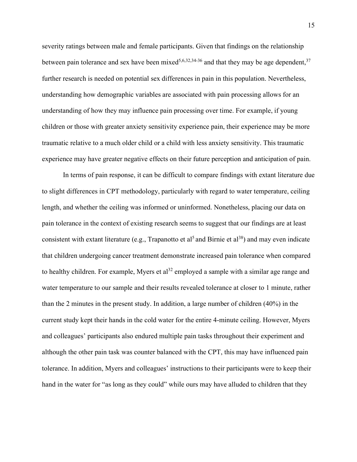severity ratings between male and female participants. Given that findings on the relationship between pain tolerance and sex have been mixed<sup>5,6,32,34-36</sup> and that they may be age dependent,<sup>37</sup> further research is needed on potential sex differences in pain in this population. Nevertheless, understanding how demographic variables are associated with pain processing allows for an understanding of how they may influence pain processing over time. For example, if young children or those with greater anxiety sensitivity experience pain, their experience may be more traumatic relative to a much older child or a child with less anxiety sensitivity. This traumatic experience may have greater negative effects on their future perception and anticipation of pain.

In terms of pain response, it can be difficult to compare findings with extant literature due to slight differences in CPT methodology, particularly with regard to water temperature, ceiling length, and whether the ceiling was informed or uninformed. Nonetheless, placing our data on pain tolerance in the context of existing research seems to suggest that our findings are at least consistent with extant literature (e.g., Trapanotto et al<sup>5</sup> and Birnie et al<sup>38</sup>) and may even indicate that children undergoing cancer treatment demonstrate increased pain tolerance when compared to healthy children. For example, Myers et  $al<sup>32</sup>$  employed a sample with a similar age range and water temperature to our sample and their results revealed tolerance at closer to 1 minute, rather than the 2 minutes in the present study. In addition, a large number of children (40%) in the current study kept their hands in the cold water for the entire 4-minute ceiling. However, Myers and colleagues' participants also endured multiple pain tasks throughout their experiment and although the other pain task was counter balanced with the CPT, this may have influenced pain tolerance. In addition, Myers and colleagues' instructions to their participants were to keep their hand in the water for "as long as they could" while ours may have alluded to children that they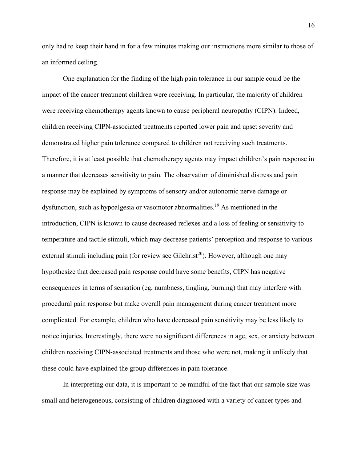only had to keep their hand in for a few minutes making our instructions more similar to those of an informed ceiling.

One explanation for the finding of the high pain tolerance in our sample could be the impact of the cancer treatment children were receiving. In particular, the majority of children were receiving chemotherapy agents known to cause peripheral neuropathy (CIPN). Indeed, children receiving CIPN-associated treatments reported lower pain and upset severity and demonstrated higher pain tolerance compared to children not receiving such treatments. Therefore, it is at least possible that chemotherapy agents may impact children's pain response in a manner that decreases sensitivity to pain. The observation of diminished distress and pain response may be explained by symptoms of sensory and/or autonomic nerve damage or dysfunction, such as hypoalgesia or vasomotor abnormalities. <sup>19</sup> As mentioned in the introduction, CIPN is known to cause decreased reflexes and a loss of feeling or sensitivity to temperature and tactile stimuli, which may decrease patients' perception and response to various external stimuli including pain (for review see Gilchrist<sup>20</sup>). However, although one may hypothesize that decreased pain response could have some benefits, CIPN has negative consequences in terms of sensation (eg, numbness, tingling, burning) that may interfere with procedural pain response but make overall pain management during cancer treatment more complicated. For example, children who have decreased pain sensitivity may be less likely to notice injuries. Interestingly, there were no significant differences in age, sex, or anxiety between children receiving CIPN-associated treatments and those who were not, making it unlikely that these could have explained the group differences in pain tolerance.

In interpreting our data, it is important to be mindful of the fact that our sample size was small and heterogeneous, consisting of children diagnosed with a variety of cancer types and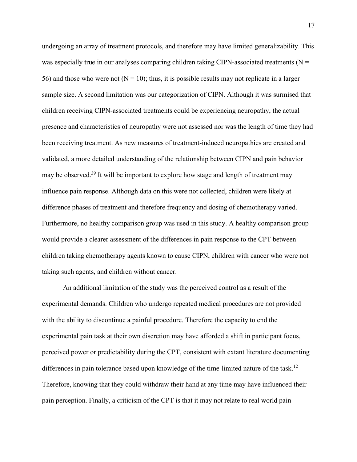undergoing an array of treatment protocols, and therefore may have limited generalizability. This was especially true in our analyses comparing children taking CIPN-associated treatments ( $N =$ 56) and those who were not  $(N = 10)$ ; thus, it is possible results may not replicate in a larger sample size. A second limitation was our categorization of CIPN. Although it was surmised that children receiving CIPN-associated treatments could be experiencing neuropathy, the actual presence and characteristics of neuropathy were not assessed nor was the length of time they had been receiving treatment. As new measures of treatment-induced neuropathies are created and validated, a more detailed understanding of the relationship between CIPN and pain behavior may be observed.<sup>39</sup> It will be important to explore how stage and length of treatment may influence pain response. Although data on this were not collected, children were likely at difference phases of treatment and therefore frequency and dosing of chemotherapy varied. Furthermore, no healthy comparison group was used in this study. A healthy comparison group would provide a clearer assessment of the differences in pain response to the CPT between children taking chemotherapy agents known to cause CIPN, children with cancer who were not taking such agents, and children without cancer.

An additional limitation of the study was the perceived control as a result of the experimental demands. Children who undergo repeated medical procedures are not provided with the ability to discontinue a painful procedure. Therefore the capacity to end the experimental pain task at their own discretion may have afforded a shift in participant focus, perceived power or predictability during the CPT, consistent with extant literature documenting differences in pain tolerance based upon knowledge of the time-limited nature of the task.<sup>12</sup> Therefore, knowing that they could withdraw their hand at any time may have influenced their pain perception. Finally, a criticism of the CPT is that it may not relate to real world pain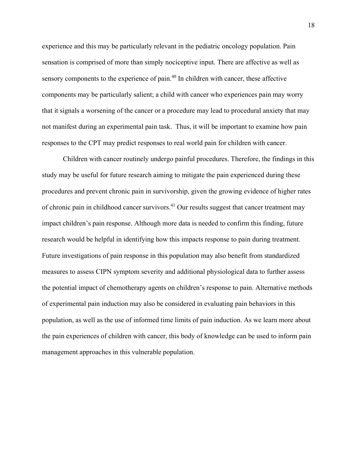experience and this may be particularly relevant in the pediatric oncology population. Pain sensation is comprised of more than simply nociceptive input. There are affective as well as sensory components to the experience of pain.<sup>40</sup> In children with cancer, these affective components may be particularly salient; a child with cancer who experiences pain may worry that it signals a worsening of the cancer or a procedure may lead to procedural anxiety that may not manifest during an experimental pain task. Thus, it will be important to examine how pain responses to the CPT may predict responses to real world pain for children with cancer.

Children with cancer routinely undergo painful procedures. Therefore, the findings in this study may be useful for future research aiming to mitigate the pain experienced during these procedures and prevent chronic pain in survivorship, given the growing evidence of higher rates of chronic pain in childhood cancer survivors.<sup>41</sup> Our results suggest that cancer treatment may impact children's pain response. Although more data is needed to confirm this finding, future research would be helpful in identifying how this impacts response to pain during treatment. Future investigations of pain response in this population may also benefit from standardized measures to assess CIPN symptom severity and additional physiological data to further assess the potential impact of chemotherapy agents on children's response to pain. Alternative methods of experimental pain induction may also be considered in evaluating pain behaviors in this population, as well as the use of informed time limits of pain induction. As we learn more about the pain experiences of children with cancer, this body of knowledge can be used to inform pain management approaches in this vulnerable population.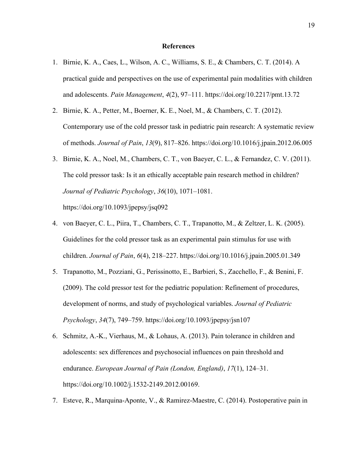# **References**

- 1. Birnie, K. A., Caes, L., Wilson, A. C., Williams, S. E., & Chambers, C. T. (2014). A practical guide and perspectives on the use of experimental pain modalities with children and adolescents. *Pain Management*, *4*(2), 97–111. https://doi.org/10.2217/pmt.13.72
- 2. Birnie, K. A., Petter, M., Boerner, K. E., Noel, M., & Chambers, C. T. (2012). Contemporary use of the cold pressor task in pediatric pain research: A systematic review of methods. *Journal of Pain*, *13*(9), 817–826. https://doi.org/10.1016/j.jpain.2012.06.005
- 3. Birnie, K. A., Noel, M., Chambers, C. T., von Baeyer, C. L., & Fernandez, C. V. (2011). The cold pressor task: Is it an ethically acceptable pain research method in children? *Journal of Pediatric Psychology*, *36*(10), 1071–1081. https://doi.org/10.1093/jpepsy/jsq092
- 4. von Baeyer, C. L., Piira, T., Chambers, C. T., Trapanotto, M., & Zeltzer, L. K. (2005). Guidelines for the cold pressor task as an experimental pain stimulus for use with children. *Journal of Pain*, *6*(4), 218–227. https://doi.org/10.1016/j.jpain.2005.01.349
- 5. Trapanotto, M., Pozziani, G., Perissinotto, E., Barbieri, S., Zacchello, F., & Benini, F. (2009). The cold pressor test for the pediatric population: Refinement of procedures, development of norms, and study of psychological variables. *Journal of Pediatric Psychology*, *34*(7), 749–759. https://doi.org/10.1093/jpepsy/jsn107
- 6. Schmitz, A.-K., Vierhaus, M., & Lohaus, A. (2013). Pain tolerance in children and adolescents: sex differences and psychosocial influences on pain threshold and endurance. *European Journal of Pain (London, England)*, *17*(1), 124–31. https://doi.org/10.1002/j.1532-2149.2012.00169.
- 7. Esteve, R., Marquina-Aponte, V., & Ramirez-Maestre, C. (2014). Postoperative pain in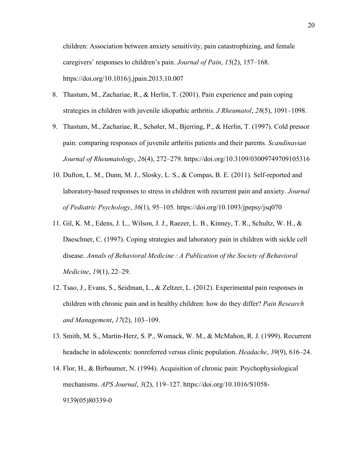children: Association between anxiety sensitivity, pain catastrophizing, and female caregivers' responses to children's pain. *Journal of Pain*, *15*(2), 157–168. https://doi.org/10.1016/j.jpain.2013.10.007

- 8. Thastum, M., Zachariae, R., & Herlin, T. (2001). Pain experience and pain coping strategies in children with juvenile idiopathic arthritis. *J Rheumatol*, *28*(5), 1091–1098.
- 9. Thastum, M., Zachariae, R., Schøler, M., Bjerring, P., & Herlin, T. (1997). Cold pressor pain: comparing responses of juvenile arthritis patients and their parents. *Scandinavian Journal of Rheumatology*, *26*(4), 272–279. https://doi.org/10.3109/03009749709105316
- 10. Dufton, L. M., Dunn, M. J., Slosky, L. S., & Compas, B. E. (2011). Self-reported and laboratory-based responses to stress in children with recurrent pain and anxiety. *Journal of Pediatric Psychology*, *36*(1), 95–105. https://doi.org/10.1093/jpepsy/jsq070
- 11. Gil, K. M., Edens, J. L., Wilson, J. J., Raezer, L. B., Kinney, T. R., Schultz, W. H., & Daeschner, C. (1997). Coping strategies and laboratory pain in children with sickle cell disease. *Annals of Behavioral Medicine : A Publication of the Society of Behavioral Medicine*, *19*(1), 22–29.
- 12. Tsao, J., Evans, S., Seidman, L., & Zeltzer, L. (2012). Experimental pain responses in children with chronic pain and in healthy children: how do they differ? *Pain Research and Management*, *17*(2), 103–109.
- 13. Smith, M. S., Martin-Herz, S. P., Womack, W. M., & McMahon, R. J. (1999). Recurrent headache in adolescents: nonreferred versus clinic population. *Headache*, *39*(9), 616–24.
- 14. Flor, H., & Birbaumer, N. (1994). Acquisition of chronic pain: Psychophysiological mechanisms. *APS Journal*, *3*(2), 119–127. https://doi.org/10.1016/S1058- 9139(05)80339-0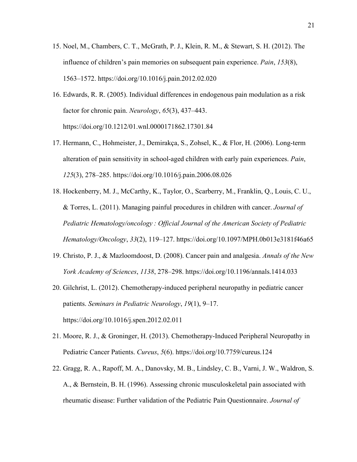- 15. Noel, M., Chambers, C. T., McGrath, P. J., Klein, R. M., & Stewart, S. H. (2012). The influence of children's pain memories on subsequent pain experience. *Pain*, *153*(8), 1563–1572. https://doi.org/10.1016/j.pain.2012.02.020
- 16. Edwards, R. R. (2005). Individual differences in endogenous pain modulation as a risk factor for chronic pain. *Neurology*, *65*(3), 437–443. https://doi.org/10.1212/01.wnl.0000171862.17301.84
- 17. Hermann, C., Hohmeister, J., Demirakça, S., Zohsel, K., & Flor, H. (2006). Long-term alteration of pain sensitivity in school-aged children with early pain experiences. *Pain*, *125*(3), 278–285. https://doi.org/10.1016/j.pain.2006.08.026
- 18. Hockenberry, M. J., McCarthy, K., Taylor, O., Scarberry, M., Franklin, Q., Louis, C. U., & Torres, L. (2011). Managing painful procedures in children with cancer. *Journal of Pediatric Hematology/oncology : Official Journal of the American Society of Pediatric Hematology/Oncology*, *33*(2), 119–127. https://doi.org/10.1097/MPH.0b013e3181f46a65
- 19. Christo, P. J., & Mazloomdoost, D. (2008). Cancer pain and analgesia. *Annals of the New York Academy of Sciences*, *1138*, 278–298. https://doi.org/10.1196/annals.1414.033
- 20. Gilchrist, L. (2012). Chemotherapy-induced peripheral neuropathy in pediatric cancer patients. *Seminars in Pediatric Neurology*, *19*(1), 9–17. https://doi.org/10.1016/j.spen.2012.02.011
- 21. Moore, R. J., & Groninger, H. (2013). Chemotherapy-Induced Peripheral Neuropathy in Pediatric Cancer Patients. *Cureus*, *5*(6). https://doi.org/10.7759/cureus.124
- 22. Gragg, R. A., Rapoff, M. A., Danovsky, M. B., Lindsley, C. B., Varni, J. W., Waldron, S. A., & Bernstein, B. H. (1996). Assessing chronic musculoskeletal pain associated with rheumatic disease: Further validation of the Pediatric Pain Questionnaire. *Journal of*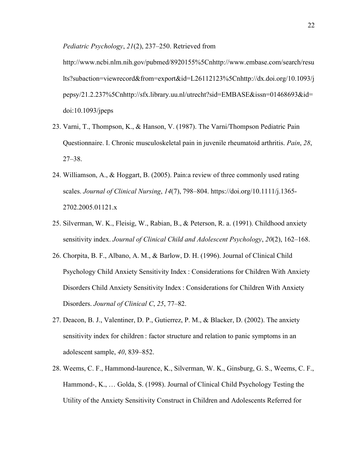*Pediatric Psychology*, *21*(2), 237–250. Retrieved from

http://www.ncbi.nlm.nih.gov/pubmed/8920155%5Cnhttp://www.embase.com/search/resu lts?subaction=viewrecord&from=export&id=L26112123%5Cnhttp://dx.doi.org/10.1093/j pepsy/21.2.237%5Cnhttp://sfx.library.uu.nl/utrecht?sid=EMBASE&issn=01468693&id= doi:10.1093/jpeps

- 23. Varni, T., Thompson, K., & Hanson, V. (1987). The Varni/Thompson Pediatric Pain Questionnaire. I. Chronic musculoskeletal pain in juvenile rheumatoid arthritis. *Pain*, *28*, 27–38.
- 24. Williamson, A., & Hoggart, B. (2005). Pain:a review of three commonly used rating scales. *Journal of Clinical Nursing*, *14*(7), 798–804. https://doi.org/10.1111/j.1365- 2702.2005.01121.x
- 25. Silverman, W. K., Fleisig, W., Rabian, B., & Peterson, R. a. (1991). Childhood anxiety sensitivity index. *Journal of Clinical Child and Adolescent Psychology*, *20*(2), 162–168.
- 26. Chorpita, B. F., Albano, A. M., & Barlow, D. H. (1996). Journal of Clinical Child Psychology Child Anxiety Sensitivity Index : Considerations for Children With Anxiety Disorders Child Anxiety Sensitivity Index : Considerations for Children With Anxiety Disorders. *Journal of Clinical C*, *25*, 77–82.
- 27. Deacon, B. J., Valentiner, D. P., Gutierrez, P. M., & Blacker, D. (2002). The anxiety sensitivity index for children : factor structure and relation to panic symptoms in an adolescent sample, *40*, 839–852.
- 28. Weems, C. F., Hammond-laurence, K., Silverman, W. K., Ginsburg, G. S., Weems, C. F., Hammond-, K., … Golda, S. (1998). Journal of Clinical Child Psychology Testing the Utility of the Anxiety Sensitivity Construct in Children and Adolescents Referred for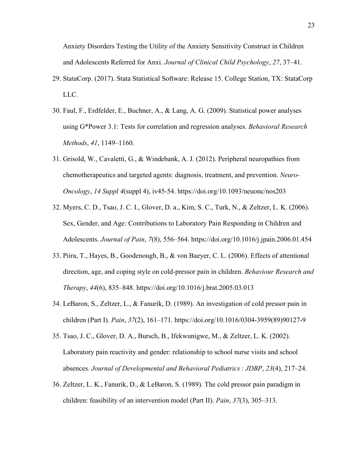Anxiety Disorders Testing the Utility of the Anxiety Sensitivity Construct in Children and Adolescents Referred for Anxi. *Journal of Clinical Child Psychology*, *27*, 37–41.

- 29. StataCorp. (2017). Stata Statistical Software: Release 15. College Station, TX: StataCorp LLC.
- 30. Faul, F., Erdfelder, E., Buchner, A., & Lang, A. G. (2009). Statistical power analyses using G\*Power 3.1: Tests for correlation and regression analyses. *Behavioral Research Methods*, *41*, 1149–1160.
- 31. Grisold, W., Cavaletti, G., & Windebank, A. J. (2012). Peripheral neuropathies from chemotherapeutics and targeted agents: diagnosis, treatment, and prevention. *Neuro-Oncology*, *14 Suppl 4*(suppl 4), iv45-54. https://doi.org/10.1093/neuonc/nos203
- 32. Myers, C. D., Tsao, J. C. I., Glover, D. a., Kim, S. C., Turk, N., & Zeltzer, L. K. (2006). Sex, Gender, and Age: Contributions to Laboratory Pain Responding in Children and Adolescents. *Journal of Pain*, *7*(8), 556–564. https://doi.org/10.1016/j.jpain.2006.01.454
- 33. Piira, T., Hayes, B., Goodenough, B., & von Baeyer, C. L. (2006). Effects of attentional direction, age, and coping style on cold-pressor pain in children. *Behaviour Research and Therapy*, *44*(6), 835–848. https://doi.org/10.1016/j.brat.2005.03.013
- 34. LeBaron, S., Zeltzer, L., & Fanurik, D. (1989). An investigation of cold pressor pain in children (Part I). *Pain*, *37*(2), 161–171. https://doi.org/10.1016/0304-3959(89)90127-9
- 35. Tsao, J. C., Glover, D. A., Bursch, B., Ifekwunigwe, M., & Zeltzer, L. K. (2002). Laboratory pain reactivity and gender: relationship to school nurse visits and school absences. *Journal of Developmental and Behavioral Pediatrics : JDBP*, *23*(4), 217–24.
- 36. Zeltzer, L. K., Fanurik, D., & LeBaron, S. (1989). The cold pressor pain paradigm in children: feasibility of an intervention model (Part II). *Pain*, *37*(3), 305–313.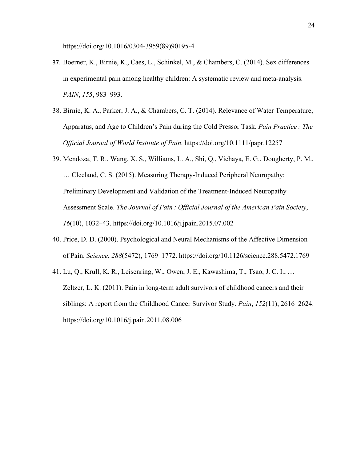https://doi.org/10.1016/0304-3959(89)90195-4

- 37. Boerner, K., Birnie, K., Caes, L., Schinkel, M., & Chambers, C. (2014). Sex differences in experimental pain among healthy children: A systematic review and meta-analysis. *PAIN*, *155*, 983–993.
- 38. Birnie, K. A., Parker, J. A., & Chambers, C. T. (2014). Relevance of Water Temperature, Apparatus, and Age to Children's Pain during the Cold Pressor Task. *Pain Practice : The Official Journal of World Institute of Pain*. https://doi.org/10.1111/papr.12257
- 39. Mendoza, T. R., Wang, X. S., Williams, L. A., Shi, Q., Vichaya, E. G., Dougherty, P. M., … Cleeland, C. S. (2015). Measuring Therapy-Induced Peripheral Neuropathy: Preliminary Development and Validation of the Treatment-Induced Neuropathy Assessment Scale. *The Journal of Pain : Official Journal of the American Pain Society*, *16*(10), 1032–43. https://doi.org/10.1016/j.jpain.2015.07.002
- 40. Price, D. D. (2000). Psychological and Neural Mechanisms of the Affective Dimension of Pain. *Science*, *288*(5472), 1769–1772. https://doi.org/10.1126/science.288.5472.1769
- 41. Lu, Q., Krull, K. R., Leisenring, W., Owen, J. E., Kawashima, T., Tsao, J. C. I., … Zeltzer, L. K. (2011). Pain in long-term adult survivors of childhood cancers and their siblings: A report from the Childhood Cancer Survivor Study. *Pain*, *152*(11), 2616–2624. https://doi.org/10.1016/j.pain.2011.08.006